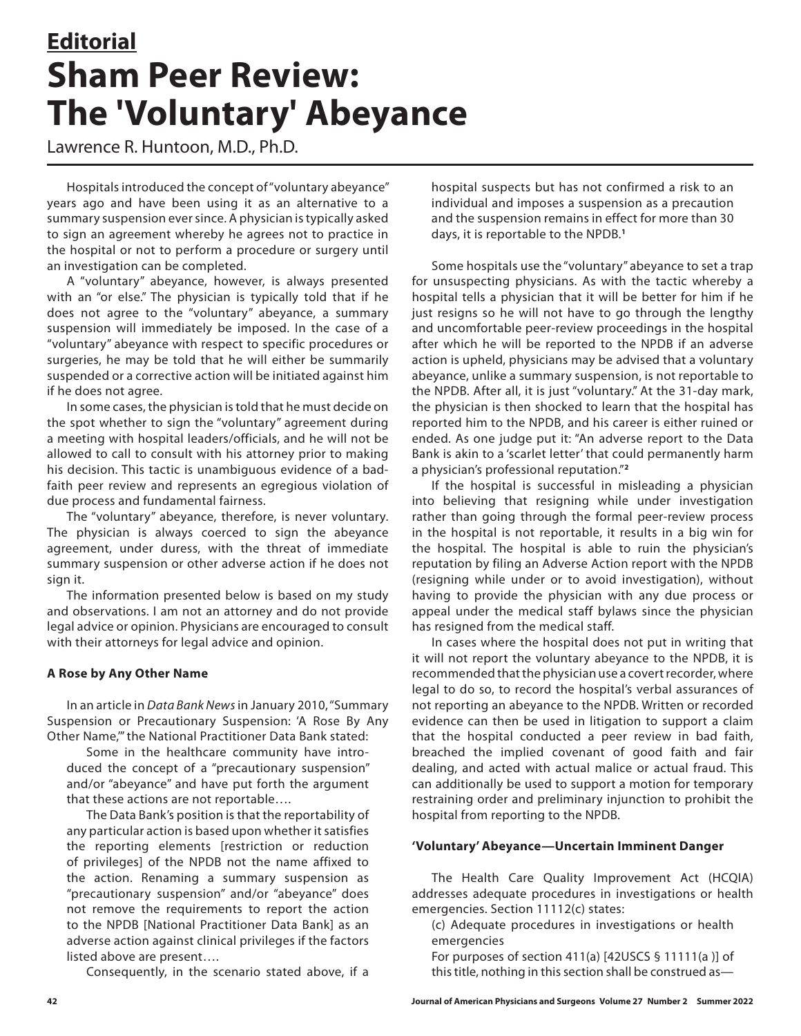# **Editorial Sham Peer Review: The 'Voluntary' Abeyance**

Lawrence R. Huntoon, M.D., Ph.D.

Hospitals introduced the concept of "voluntary abeyance" years ago and have been using it as an alternative to a summary suspension ever since. A physician is typically asked to sign an agreement whereby he agrees not to practice in the hospital or not to perform a procedure or surgery until an investigation can be completed.

A "voluntary" abeyance, however, is always presented with an "or else." The physician is typically told that if he does not agree to the "voluntary" abeyance, a summary suspension will immediately be imposed. In the case of a "voluntary" abeyance with respect to specific procedures or surgeries, he may be told that he will either be summarily suspended or a corrective action will be initiated against him if he does not agree.

In some cases, the physician is told that he must decide on the spot whether to sign the "voluntary" agreement during a meeting with hospital leaders/officials, and he will not be allowed to call to consult with his attorney prior to making his decision. This tactic is unambiguous evidence of a badfaith peer review and represents an egregious violation of due process and fundamental fairness.

The "voluntary" abeyance, therefore, is never voluntary. The physician is always coerced to sign the abeyance agreement, under duress, with the threat of immediate summary suspension or other adverse action if he does not sign it.

The information presented below is based on my study and observations. I am not an attorney and do not provide legal advice or opinion. Physicians are encouraged to consult with their attorneys for legal advice and opinion.

# **A Rose by Any Other Name**

In an article in *Data Bank News* in January 2010, "Summary Suspension or Precautionary Suspension: 'A Rose By Any Other Name,'" the National Practitioner Data Bank stated:

Some in the healthcare community have introduced the concept of a "precautionary suspension" and/or "abeyance" and have put forth the argument that these actions are not reportable….

The Data Bank's position is that the reportability of any particular action is based upon whether it satisfies the reporting elements [restriction or reduction of privileges] of the NPDB not the name affixed to the action. Renaming a summary suspension as "precautionary suspension" and/or "abeyance" does not remove the requirements to report the action to the NPDB [National Practitioner Data Bank] as an adverse action against clinical privileges if the factors listed above are present….

Consequently, in the scenario stated above, if a

hospital suspects but has not confirmed a risk to an individual and imposes a suspension as a precaution and the suspension remains in effect for more than 30 days, it is reportable to the NPDB.**<sup>1</sup>**

Some hospitals use the "voluntary" abeyance to set a trap for unsuspecting physicians. As with the tactic whereby a hospital tells a physician that it will be better for him if he just resigns so he will not have to go through the lengthy and uncomfortable peer-review proceedings in the hospital after which he will be reported to the NPDB if an adverse action is upheld, physicians may be advised that a voluntary abeyance, unlike a summary suspension, is not reportable to the NPDB. After all, it is just "voluntary." At the 31-day mark, the physician is then shocked to learn that the hospital has reported him to the NPDB, and his career is either ruined or ended. As one judge put it: "An adverse report to the Data Bank is akin to a 'scarlet letter' that could permanently harm a physician's professional reputation."**<sup>2</sup>**

If the hospital is successful in misleading a physician into believing that resigning while under investigation rather than going through the formal peer-review process in the hospital is not reportable, it results in a big win for the hospital. The hospital is able to ruin the physician's reputation by filing an Adverse Action report with the NPDB (resigning while under or to avoid investigation), without having to provide the physician with any due process or appeal under the medical staff bylaws since the physician has resigned from the medical staff.

In cases where the hospital does not put in writing that it will not report the voluntary abeyance to the NPDB, it is recommended that the physician use a covert recorder, where legal to do so, to record the hospital's verbal assurances of not reporting an abeyance to the NPDB. Written or recorded evidence can then be used in litigation to support a claim that the hospital conducted a peer review in bad faith, breached the implied covenant of good faith and fair dealing, and acted with actual malice or actual fraud. This can additionally be used to support a motion for temporary restraining order and preliminary injunction to prohibit the hospital from reporting to the NPDB.

### **'Voluntary' Abeyance—Uncertain Imminent Danger**

The Health Care Quality Improvement Act (HCQIA) addresses adequate procedures in investigations or health emergencies. Section 11112(c) states:

(c) Adequate procedures in investigations or health emergencies

For purposes of section 411(a) [42USCS § 11111(a )] of this title, nothing in this section shall be construed as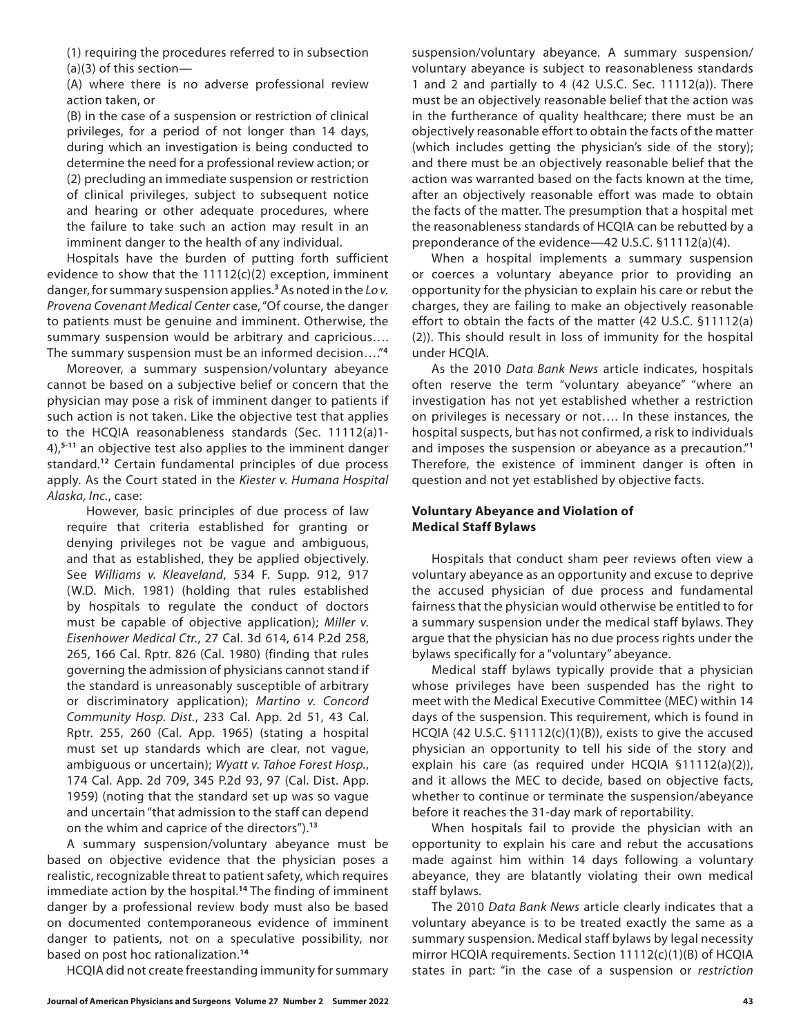(1) requiring the procedures referred to in subsection (a)(3) of this section—

(A) where there is no adverse professional review action taken, or

(B) in the case of a suspension or restriction of clinical privileges, for a period of not longer than 14 days, during which an investigation is being conducted to determine the need for a professional review action; or (2) precluding an immediate suspension or restriction of clinical privileges, subject to subsequent notice and hearing or other adequate procedures, where the failure to take such an action may result in an imminent danger to the health of any individual.

Hospitals have the burden of putting forth sufficient evidence to show that the 11112(c)(2) exception, imminent danger, for summary suspension applies.**<sup>3</sup>** As noted in the *Lo v. Provena Covenant Medical Center* case, "Of course, the danger to patients must be genuine and imminent. Otherwise, the summary suspension would be arbitrary and capricious…. The summary suspension must be an informed decision…."**<sup>4</sup>**

Moreover, a summary suspension/voluntary abeyance cannot be based on a subjective belief or concern that the physician may pose a risk of imminent danger to patients if such action is not taken. Like the objective test that applies to the HCQIA reasonableness standards (Sec. 11112(a)1- 4),**5-11** an objective test also applies to the imminent danger standard.**<sup>12</sup>** Certain fundamental principles of due process apply. As the Court stated in the *Kiester v. Humana Hospital Alaska, Inc.*, case:

However, basic principles of due process of law require that criteria established for granting or denying privileges not be vague and ambiguous, and that as established, they be applied objectively. See *Williams v. Kleaveland*, 534 F. Supp. 912, 917 (W.D. Mich. 1981) (holding that rules established by hospitals to regulate the conduct of doctors must be capable of objective application); *Miller v. Eisenhower Medical Ctr.*, 27 Cal. 3d 614, 614 P.2d 258, 265, 166 Cal. Rptr. 826 (Cal. 1980) (finding that rules governing the admission of physicians cannot stand if the standard is unreasonably susceptible of arbitrary or discriminatory application); *Martino v. Concord Community Hosp. Dist.*, 233 Cal. App. 2d 51, 43 Cal. Rptr. 255, 260 (Cal. App. 1965) (stating a hospital must set up standards which are clear, not vague, ambiguous or uncertain); *Wyatt v. Tahoe Forest Hosp.*, 174 Cal. App. 2d 709, 345 P.2d 93, 97 (Cal. Dist. App. 1959) (noting that the standard set up was so vague and uncertain "that admission to the staff can depend on the whim and caprice of the directors").**<sup>13</sup>**

A summary suspension/voluntary abeyance must be based on objective evidence that the physician poses a realistic, recognizable threat to patient safety, which requires immediate action by the hospital.**<sup>14</sup>** The finding of imminent danger by a professional review body must also be based on documented contemporaneous evidence of imminent danger to patients, not on a speculative possibility, nor based on post hoc rationalization.**<sup>14</sup>**

HCQIA did not create freestanding immunity for summary

suspension/voluntary abeyance. A summary suspension/ voluntary abeyance is subject to reasonableness standards 1 and 2 and partially to 4 (42 U.S.C. Sec. 11112(a)). There must be an objectively reasonable belief that the action was in the furtherance of quality healthcare; there must be an objectively reasonable effort to obtain the facts of the matter (which includes getting the physician's side of the story); and there must be an objectively reasonable belief that the action was warranted based on the facts known at the time, after an objectively reasonable effort was made to obtain the facts of the matter. The presumption that a hospital met the reasonableness standards of HCQIA can be rebutted by a preponderance of the evidence—42 U.S.C. §11112(a)(4).

When a hospital implements a summary suspension or coerces a voluntary abeyance prior to providing an opportunity for the physician to explain his care or rebut the charges, they are failing to make an objectively reasonable effort to obtain the facts of the matter (42 U.S.C. §11112(a) (2)). This should result in loss of immunity for the hospital under HCQIA.

As the 2010 *Data Bank News* article indicates, hospitals often reserve the term "voluntary abeyance" "where an investigation has not yet established whether a restriction on privileges is necessary or not…. In these instances, the hospital suspects, but has not confirmed, a risk to individuals and imposes the suspension or abeyance as a precaution."**<sup>1</sup>** Therefore, the existence of imminent danger is often in question and not yet established by objective facts.

### **Voluntary Abeyance and Violation of Medical Staff Bylaws**

Hospitals that conduct sham peer reviews often view a voluntary abeyance as an opportunity and excuse to deprive the accused physician of due process and fundamental fairness that the physician would otherwise be entitled to for a summary suspension under the medical staff bylaws. They argue that the physician has no due process rights under the bylaws specifically for a "voluntary" abeyance.

Medical staff bylaws typically provide that a physician whose privileges have been suspended has the right to meet with the Medical Executive Committee (MEC) within 14 days of the suspension. This requirement, which is found in HCQIA (42 U.S.C. §11112(c)(1)(B)), exists to give the accused physician an opportunity to tell his side of the story and explain his care (as required under HCQIA §11112(a)(2)), and it allows the MEC to decide, based on objective facts, whether to continue or terminate the suspension/abeyance before it reaches the 31-day mark of reportability.

When hospitals fail to provide the physician with an opportunity to explain his care and rebut the accusations made against him within 14 days following a voluntary abeyance, they are blatantly violating their own medical staff bylaws.

The 2010 *Data Bank News* article clearly indicates that a voluntary abeyance is to be treated exactly the same as a summary suspension. Medical staff bylaws by legal necessity mirror HCQIA requirements. Section 11112(c)(1)(B) of HCQIA states in part: "in the case of a suspension or *restriction*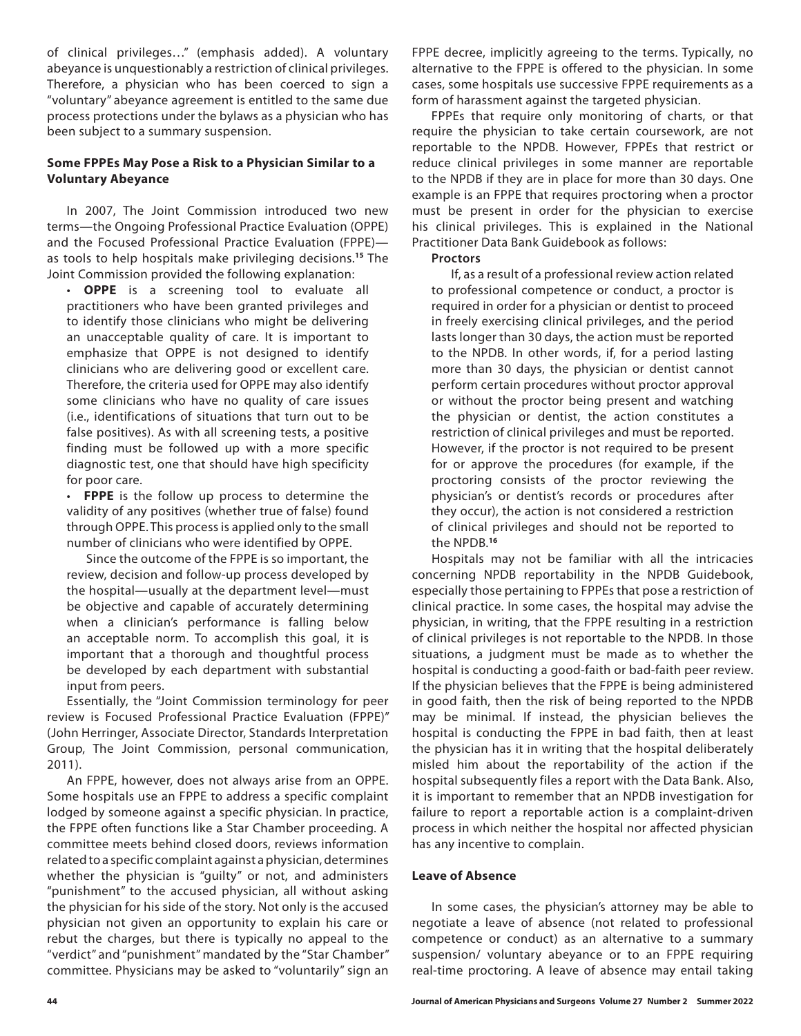of clinical privileges…" (emphasis added). A voluntary abeyance is unquestionably a restriction of clinical privileges. Therefore, a physician who has been coerced to sign a "voluntary" abeyance agreement is entitled to the same due process protections under the bylaws as a physician who has been subject to a summary suspension.

## **Some FPPEs May Pose a Risk to a Physician Similar to a Voluntary Abeyance**

In 2007, The Joint Commission introduced two new terms—the Ongoing Professional Practice Evaluation (OPPE) and the Focused Professional Practice Evaluation (FPPE) as tools to help hospitals make privileging decisions.**<sup>15</sup>** The Joint Commission provided the following explanation:

• **OPPE** is a screening tool to evaluate all practitioners who have been granted privileges and to identify those clinicians who might be delivering an unacceptable quality of care. It is important to emphasize that OPPE is not designed to identify clinicians who are delivering good or excellent care. Therefore, the criteria used for OPPE may also identify some clinicians who have no quality of care issues (i.e., identifications of situations that turn out to be false positives). As with all screening tests, a positive finding must be followed up with a more specific diagnostic test, one that should have high specificity for poor care.

FPPE is the follow up process to determine the validity of any positives (whether true of false) found through OPPE. This process is applied only to the small number of clinicians who were identified by OPPE.

Since the outcome of the FPPE is so important, the review, decision and follow-up process developed by the hospital—usually at the department level—must be objective and capable of accurately determining when a clinician's performance is falling below an acceptable norm. To accomplish this goal, it is important that a thorough and thoughtful process be developed by each department with substantial input from peers.

Essentially, the "Joint Commission terminology for peer review is Focused Professional Practice Evaluation (FPPE)" (John Herringer, Associate Director, Standards Interpretation Group, The Joint Commission, personal communication, 2011).

An FPPE, however, does not always arise from an OPPE. Some hospitals use an FPPE to address a specific complaint lodged by someone against a specific physician. In practice, the FPPE often functions like a Star Chamber proceeding. A committee meets behind closed doors, reviews information related to a specific complaint against a physician, determines whether the physician is "guilty" or not, and administers "punishment" to the accused physician, all without asking the physician for his side of the story. Not only is the accused physician not given an opportunity to explain his care or rebut the charges, but there is typically no appeal to the "verdict" and "punishment" mandated by the "Star Chamber" committee. Physicians may be asked to "voluntarily" sign an

FPPE decree, implicitly agreeing to the terms. Typically, no alternative to the FPPE is offered to the physician. In some cases, some hospitals use successive FPPE requirements as a form of harassment against the targeted physician.

FPPEs that require only monitoring of charts, or that require the physician to take certain coursework, are not reportable to the NPDB. However, FPPEs that restrict or reduce clinical privileges in some manner are reportable to the NPDB if they are in place for more than 30 days. One example is an FPPE that requires proctoring when a proctor must be present in order for the physician to exercise his clinical privileges. This is explained in the National Practitioner Data Bank Guidebook as follows:

#### **Proctors**

If, as a result of a professional review action related to professional competence or conduct, a proctor is required in order for a physician or dentist to proceed in freely exercising clinical privileges, and the period lasts longer than 30 days, the action must be reported to the NPDB. In other words, if, for a period lasting more than 30 days, the physician or dentist cannot perform certain procedures without proctor approval or without the proctor being present and watching the physician or dentist, the action constitutes a restriction of clinical privileges and must be reported. However, if the proctor is not required to be present for or approve the procedures (for example, if the proctoring consists of the proctor reviewing the physician's or dentist's records or procedures after they occur), the action is not considered a restriction of clinical privileges and should not be reported to the NPDB.**<sup>16</sup>**

Hospitals may not be familiar with all the intricacies concerning NPDB reportability in the NPDB Guidebook, especially those pertaining to FPPEs that pose a restriction of clinical practice. In some cases, the hospital may advise the physician, in writing, that the FPPE resulting in a restriction of clinical privileges is not reportable to the NPDB. In those situations, a judgment must be made as to whether the hospital is conducting a good-faith or bad-faith peer review. If the physician believes that the FPPE is being administered in good faith, then the risk of being reported to the NPDB may be minimal. If instead, the physician believes the hospital is conducting the FPPE in bad faith, then at least the physician has it in writing that the hospital deliberately misled him about the reportability of the action if the hospital subsequently files a report with the Data Bank. Also, it is important to remember that an NPDB investigation for failure to report a reportable action is a complaint-driven process in which neither the hospital nor affected physician has any incentive to complain.

#### **Leave of Absence**

In some cases, the physician's attorney may be able to negotiate a leave of absence (not related to professional competence or conduct) as an alternative to a summary suspension/ voluntary abeyance or to an FPPE requiring real-time proctoring. A leave of absence may entail taking